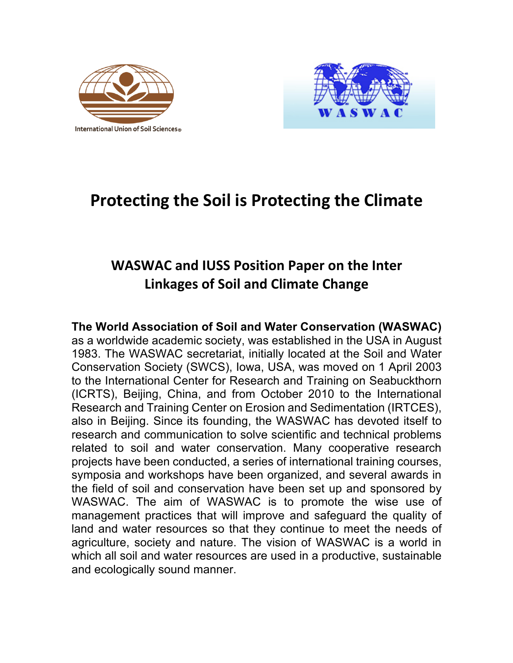



# **Protecting the Soil is Protecting the Climate**

# **WASWAC and IUSS Position Paper on the Inter Linkages of Soil and Climate Change**

# **The World Association of Soil and Water Conservation (WASWAC)**

as a worldwide academic society, was established in the USA in August 1983. The WASWAC secretariat, initially located at the Soil and Water Conservation Society (SWCS), Iowa, USA, was moved on 1 April 2003 to the International Center for Research and Training on Seabuckthorn (ICRTS), Beijing, China, and from October 2010 to the International Research and Training Center on Erosion and Sedimentation (IRTCES), also in Beijing. Since its founding, the WASWAC has devoted itself to research and communication to solve scientific and technical problems related to soil and water conservation. Many cooperative research projects have been conducted, a series of international training courses, symposia and workshops have been organized, and several awards in the field of soil and conservation have been set up and sponsored by WASWAC. The aim of WASWAC is to promote the wise use of management practices that will improve and safeguard the quality of land and water resources so that they continue to meet the needs of agriculture, society and nature. The vision of WASWAC is a world in which all soil and water resources are used in a productive, sustainable and ecologically sound manner.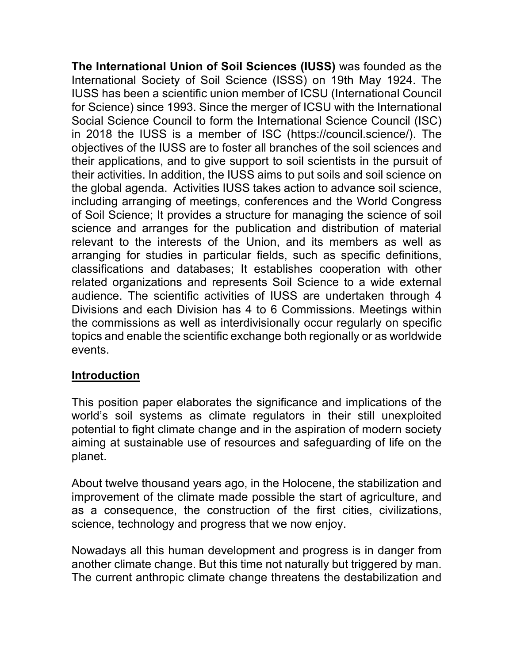**The International Union of Soil Sciences (IUSS)** was founded as the International Society of Soil Science (ISSS) on 19th May 1924. The IUSS has been a scientific union member of ICSU (International Council for Science) since 1993. Since the merger of ICSU with the International Social Science Council to form the International Science Council (ISC) in 2018 the IUSS is a member of ISC (https://council.science/). The objectives of the IUSS are to foster all branches of the soil sciences and their applications, and to give support to soil scientists in the pursuit of their activities. In addition, the IUSS aims to put soils and soil science on the global agenda. Activities IUSS takes action to advance soil science, including arranging of meetings, conferences and the World Congress of Soil Science; It provides a structure for managing the science of soil science and arranges for the publication and distribution of material relevant to the interests of the Union, and its members as well as arranging for studies in particular fields, such as specific definitions, classifications and databases; It establishes cooperation with other related organizations and represents Soil Science to a wide external audience. The scientific activities of IUSS are undertaken through 4 Divisions and each Division has 4 to 6 Commissions. Meetings within the commissions as well as interdivisionally occur regularly on specific topics and enable the scientific exchange both regionally or as worldwide events.

# **Introduction**

This position paper elaborates the significance and implications of the world's soil systems as climate regulators in their still unexploited potential to fight climate change and in the aspiration of modern society aiming at sustainable use of resources and safeguarding of life on the planet.

About twelve thousand years ago, in the Holocene, the stabilization and improvement of the climate made possible the start of agriculture, and as a consequence, the construction of the first cities, civilizations, science, technology and progress that we now enjoy.

Nowadays all this human development and progress is in danger from another climate change. But this time not naturally but triggered by man. The current anthropic climate change threatens the destabilization and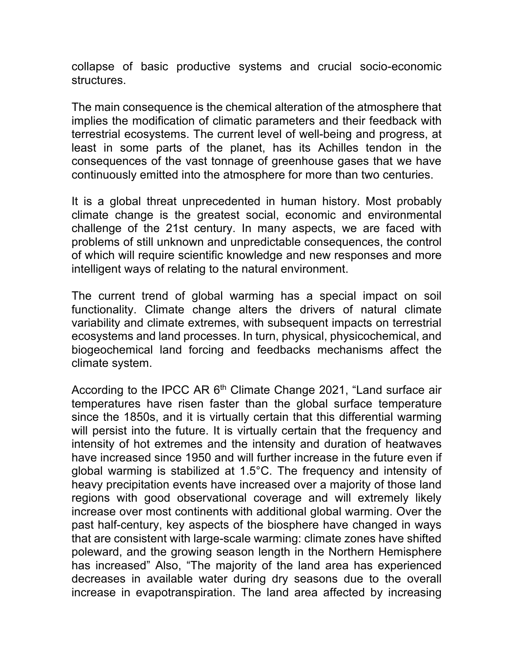collapse of basic productive systems and crucial socio-economic structures.

The main consequence is the chemical alteration of the atmosphere that implies the modification of climatic parameters and their feedback with terrestrial ecosystems. The current level of well-being and progress, at least in some parts of the planet, has its Achilles tendon in the consequences of the vast tonnage of greenhouse gases that we have continuously emitted into the atmosphere for more than two centuries.

It is a global threat unprecedented in human history. Most probably climate change is the greatest social, economic and environmental challenge of the 21st century. In many aspects, we are faced with problems of still unknown and unpredictable consequences, the control of which will require scientific knowledge and new responses and more intelligent ways of relating to the natural environment.

The current trend of global warming has a special impact on soil functionality. Climate change alters the drivers of natural climate variability and climate extremes, with subsequent impacts on terrestrial ecosystems and land processes. In turn, physical, physicochemical, and biogeochemical land forcing and feedbacks mechanisms affect the climate system.

According to the IPCC AR  $6<sup>th</sup>$  Climate Change 2021, "Land surface air temperatures have risen faster than the global surface temperature since the 1850s, and it is virtually certain that this differential warming will persist into the future. It is virtually certain that the frequency and intensity of hot extremes and the intensity and duration of heatwaves have increased since 1950 and will further increase in the future even if global warming is stabilized at 1.5°C. The frequency and intensity of heavy precipitation events have increased over a majority of those land regions with good observational coverage and will extremely likely increase over most continents with additional global warming. Over the past half-century, key aspects of the biosphere have changed in ways that are consistent with large-scale warming: climate zones have shifted poleward, and the growing season length in the Northern Hemisphere has increased" Also, "The majority of the land area has experienced decreases in available water during dry seasons due to the overall increase in evapotranspiration. The land area affected by increasing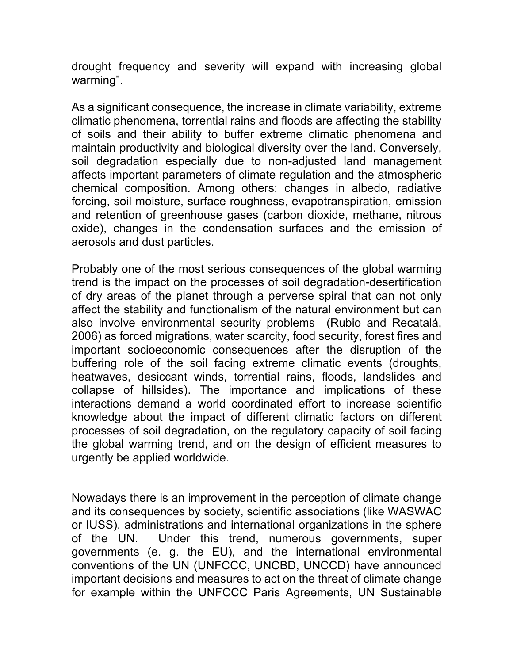drought frequency and severity will expand with increasing global warming".

As a significant consequence, the increase in climate variability, extreme climatic phenomena, torrential rains and floods are affecting the stability of soils and their ability to buffer extreme climatic phenomena and maintain productivity and biological diversity over the land. Conversely, soil degradation especially due to non-adjusted land management affects important parameters of climate regulation and the atmospheric chemical composition. Among others: changes in albedo, radiative forcing, soil moisture, surface roughness, evapotranspiration, emission and retention of greenhouse gases (carbon dioxide, methane, nitrous oxide), changes in the condensation surfaces and the emission of aerosols and dust particles.

Probably one of the most serious consequences of the global warming trend is the impact on the processes of soil degradation-desertification of dry areas of the planet through a perverse spiral that can not only affect the stability and functionalism of the natural environment but can also involve environmental security problems (Rubio and Recatalá, 2006) as forced migrations, water scarcity, food security, forest fires and important socioeconomic consequences after the disruption of the buffering role of the soil facing extreme climatic events (droughts, heatwaves, desiccant winds, torrential rains, floods, landslides and collapse of hillsides). The importance and implications of these interactions demand a world coordinated effort to increase scientific knowledge about the impact of different climatic factors on different processes of soil degradation, on the regulatory capacity of soil facing the global warming trend, and on the design of efficient measures to urgently be applied worldwide.

Nowadays there is an improvement in the perception of climate change and its consequences by society, scientific associations (like WASWAC or IUSS), administrations and international organizations in the sphere of the UN. Under this trend, numerous governments, super governments (e. g. the EU), and the international environmental conventions of the UN (UNFCCC, UNCBD, UNCCD) have announced important decisions and measures to act on the threat of climate change for example within the UNFCCC Paris Agreements, UN Sustainable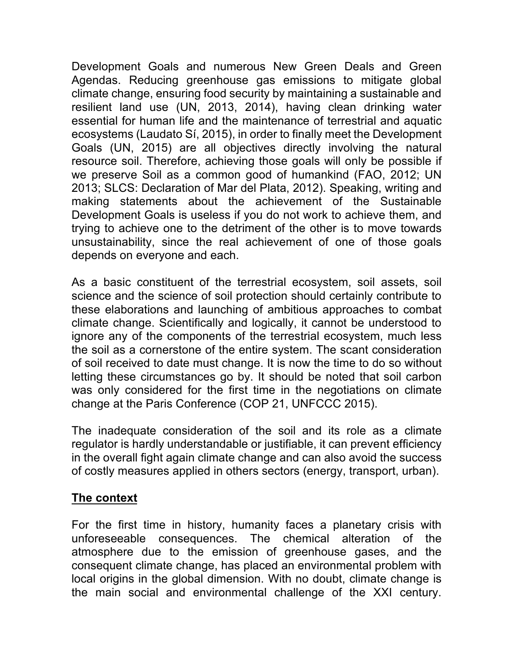Development Goals and numerous New Green Deals and Green Agendas. Reducing greenhouse gas emissions to mitigate global climate change, ensuring food security by maintaining a sustainable and resilient land use (UN, 2013, 2014), having clean drinking water essential for human life and the maintenance of terrestrial and aquatic ecosystems (Laudato Sí, 2015), in order to finally meet the Development Goals (UN, 2015) are all objectives directly involving the natural resource soil. Therefore, achieving those goals will only be possible if we preserve Soil as a common good of humankind (FAO, 2012; UN 2013; SLCS: Declaration of Mar del Plata, 2012). Speaking, writing and making statements about the achievement of the Sustainable Development Goals is useless if you do not work to achieve them, and trying to achieve one to the detriment of the other is to move towards unsustainability, since the real achievement of one of those goals depends on everyone and each.

As a basic constituent of the terrestrial ecosystem, soil assets, soil science and the science of soil protection should certainly contribute to these elaborations and launching of ambitious approaches to combat climate change. Scientifically and logically, it cannot be understood to ignore any of the components of the terrestrial ecosystem, much less the soil as a cornerstone of the entire system. The scant consideration of soil received to date must change. It is now the time to do so without letting these circumstances go by. It should be noted that soil carbon was only considered for the first time in the negotiations on climate change at the Paris Conference (COP 21, UNFCCC 2015).

The inadequate consideration of the soil and its role as a climate regulator is hardly understandable or justifiable, it can prevent efficiency in the overall fight again climate change and can also avoid the success of costly measures applied in others sectors (energy, transport, urban).

# **The context**

For the first time in history, humanity faces a planetary crisis with unforeseeable consequences. The chemical alteration of the atmosphere due to the emission of greenhouse gases, and the consequent climate change, has placed an environmental problem with local origins in the global dimension. With no doubt, climate change is the main social and environmental challenge of the XXI century.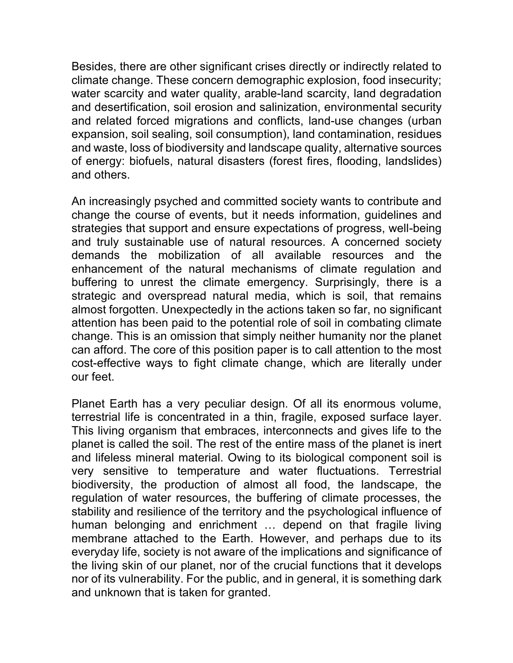Besides, there are other significant crises directly or indirectly related to climate change. These concern demographic explosion, food insecurity; water scarcity and water quality, arable-land scarcity, land degradation and desertification, soil erosion and salinization, environmental security and related forced migrations and conflicts, land-use changes (urban expansion, soil sealing, soil consumption), land contamination, residues and waste, loss of biodiversity and landscape quality, alternative sources of energy: biofuels, natural disasters (forest fires, flooding, landslides) and others.

An increasingly psyched and committed society wants to contribute and change the course of events, but it needs information, guidelines and strategies that support and ensure expectations of progress, well-being and truly sustainable use of natural resources. A concerned society demands the mobilization of all available resources and the enhancement of the natural mechanisms of climate regulation and buffering to unrest the climate emergency. Surprisingly, there is a strategic and overspread natural media, which is soil, that remains almost forgotten. Unexpectedly in the actions taken so far, no significant attention has been paid to the potential role of soil in combating climate change. This is an omission that simply neither humanity nor the planet can afford. The core of this position paper is to call attention to the most cost-effective ways to fight climate change, which are literally under our feet.

Planet Earth has a very peculiar design. Of all its enormous volume, terrestrial life is concentrated in a thin, fragile, exposed surface layer. This living organism that embraces, interconnects and gives life to the planet is called the soil. The rest of the entire mass of the planet is inert and lifeless mineral material. Owing to its biological component soil is very sensitive to temperature and water fluctuations. Terrestrial biodiversity, the production of almost all food, the landscape, the regulation of water resources, the buffering of climate processes, the stability and resilience of the territory and the psychological influence of human belonging and enrichment … depend on that fragile living membrane attached to the Earth. However, and perhaps due to its everyday life, society is not aware of the implications and significance of the living skin of our planet, nor of the crucial functions that it develops nor of its vulnerability. For the public, and in general, it is something dark and unknown that is taken for granted.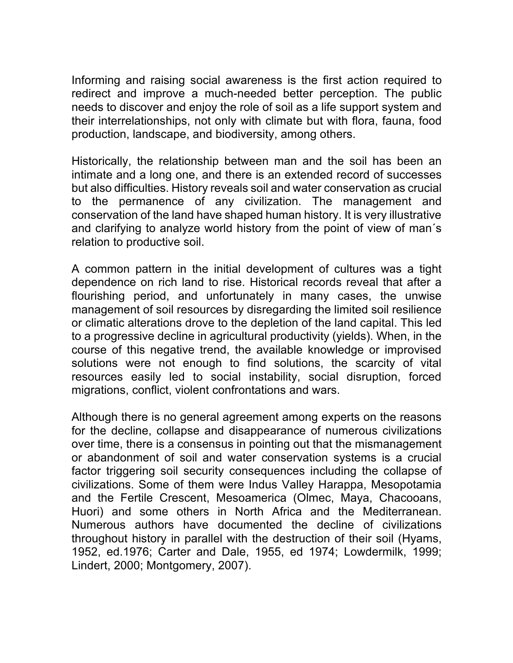Informing and raising social awareness is the first action required to redirect and improve a much-needed better perception. The public needs to discover and enjoy the role of soil as a life support system and their interrelationships, not only with climate but with flora, fauna, food production, landscape, and biodiversity, among others.

Historically, the relationship between man and the soil has been an intimate and a long one, and there is an extended record of successes but also difficulties. History reveals soil and water conservation as crucial to the permanence of any civilization. The management and conservation of the land have shaped human history. It is very illustrative and clarifying to analyze world history from the point of view of man´s relation to productive soil.

A common pattern in the initial development of cultures was a tight dependence on rich land to rise. Historical records reveal that after a flourishing period, and unfortunately in many cases, the unwise management of soil resources by disregarding the limited soil resilience or climatic alterations drove to the depletion of the land capital. This led to a progressive decline in agricultural productivity (yields). When, in the course of this negative trend, the available knowledge or improvised solutions were not enough to find solutions, the scarcity of vital resources easily led to social instability, social disruption, forced migrations, conflict, violent confrontations and wars.

Although there is no general agreement among experts on the reasons for the decline, collapse and disappearance of numerous civilizations over time, there is a consensus in pointing out that the mismanagement or abandonment of soil and water conservation systems is a crucial factor triggering soil security consequences including the collapse of civilizations. Some of them were Indus Valley Harappa, Mesopotamia and the Fertile Crescent, Mesoamerica (Olmec, Maya, Chacooans, Huori) and some others in North Africa and the Mediterranean. Numerous authors have documented the decline of civilizations throughout history in parallel with the destruction of their soil (Hyams, 1952, ed.1976; Carter and Dale, 1955, ed 1974; Lowdermilk, 1999; Lindert, 2000; Montgomery, 2007).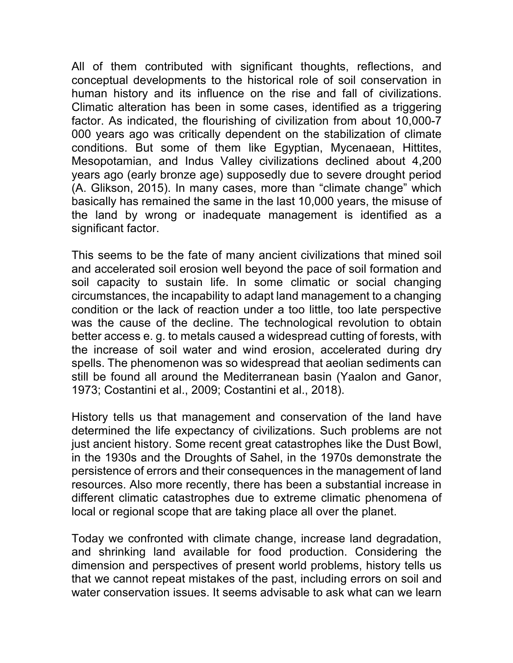All of them contributed with significant thoughts, reflections, and conceptual developments to the historical role of soil conservation in human history and its influence on the rise and fall of civilizations. Climatic alteration has been in some cases, identified as a triggering factor. As indicated, the flourishing of civilization from about 10,000-7 000 years ago was critically dependent on the stabilization of climate conditions. But some of them like Egyptian, Mycenaean, Hittites, Mesopotamian, and Indus Valley civilizations declined about 4,200 years ago (early bronze age) supposedly due to severe drought period (A. Glikson, 2015). In many cases, more than "climate change" which basically has remained the same in the last 10,000 years, the misuse of the land by wrong or inadequate management is identified as a significant factor.

This seems to be the fate of many ancient civilizations that mined soil and accelerated soil erosion well beyond the pace of soil formation and soil capacity to sustain life. In some climatic or social changing circumstances, the incapability to adapt land management to a changing condition or the lack of reaction under a too little, too late perspective was the cause of the decline. The technological revolution to obtain better access e. g. to metals caused a widespread cutting of forests, with the increase of soil water and wind erosion, accelerated during dry spells. The phenomenon was so widespread that aeolian sediments can still be found all around the Mediterranean basin (Yaalon and Ganor, 1973; Costantini et al., 2009; Costantini et al., 2018).

History tells us that management and conservation of the land have determined the life expectancy of civilizations. Such problems are not just ancient history. Some recent great catastrophes like the Dust Bowl, in the 1930s and the Droughts of Sahel, in the 1970s demonstrate the persistence of errors and their consequences in the management of land resources. Also more recently, there has been a substantial increase in different climatic catastrophes due to extreme climatic phenomena of local or regional scope that are taking place all over the planet.

Today we confronted with climate change, increase land degradation, and shrinking land available for food production. Considering the dimension and perspectives of present world problems, history tells us that we cannot repeat mistakes of the past, including errors on soil and water conservation issues. It seems advisable to ask what can we learn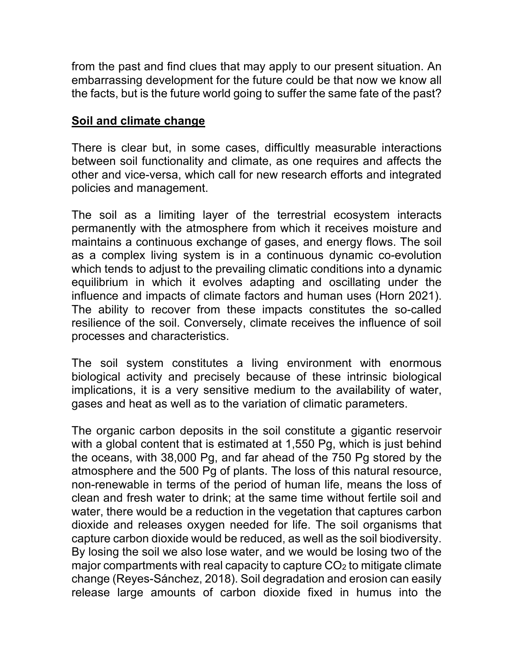from the past and find clues that may apply to our present situation. An embarrassing development for the future could be that now we know all the facts, but is the future world going to suffer the same fate of the past?

### **Soil and climate change**

There is clear but, in some cases, difficultly measurable interactions between soil functionality and climate, as one requires and affects the other and vice-versa, which call for new research efforts and integrated policies and management.

The soil as a limiting layer of the terrestrial ecosystem interacts permanently with the atmosphere from which it receives moisture and maintains a continuous exchange of gases, and energy flows. The soil as a complex living system is in a continuous dynamic co-evolution which tends to adjust to the prevailing climatic conditions into a dynamic equilibrium in which it evolves adapting and oscillating under the influence and impacts of climate factors and human uses (Horn 2021). The ability to recover from these impacts constitutes the so-called resilience of the soil. Conversely, climate receives the influence of soil processes and characteristics.

The soil system constitutes a living environment with enormous biological activity and precisely because of these intrinsic biological implications, it is a very sensitive medium to the availability of water, gases and heat as well as to the variation of climatic parameters.

The organic carbon deposits in the soil constitute a gigantic reservoir with a global content that is estimated at 1,550 Pg, which is just behind the oceans, with 38,000 Pg, and far ahead of the 750 Pg stored by the atmosphere and the 500 Pg of plants. The loss of this natural resource, non-renewable in terms of the period of human life, means the loss of clean and fresh water to drink; at the same time without fertile soil and water, there would be a reduction in the vegetation that captures carbon dioxide and releases oxygen needed for life. The soil organisms that capture carbon dioxide would be reduced, as well as the soil biodiversity. By losing the soil we also lose water, and we would be losing two of the major compartments with real capacity to capture  $CO<sub>2</sub>$  to mitigate climate change (Reyes-Sánchez, 2018). Soil degradation and erosion can easily release large amounts of carbon dioxide fixed in humus into the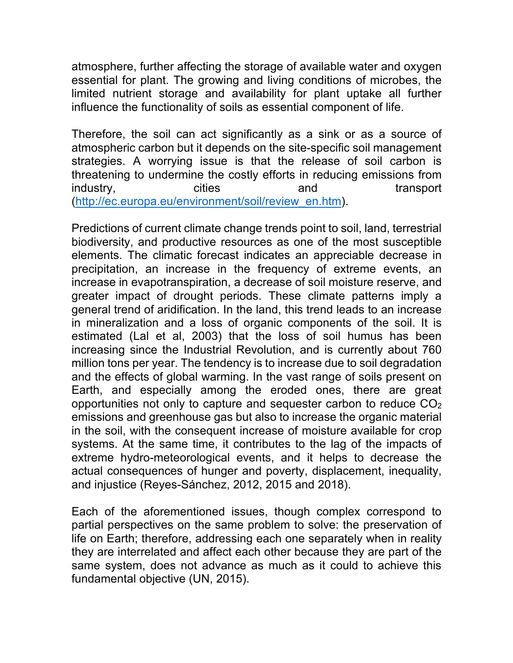atmosphere, further affecting the storage of available water and oxygen essential for plant. The growing and living conditions of microbes, the limited nutrient storage and availability for plant uptake all further influence the functionality of soils as essential component of life.

Therefore, the soil can act significantly as a sink or as a source of atmospheric carbon but it depends on the site-specific soil management strategies. A worrying issue is that the release of soil carbon is threatening to undermine the costly efforts in reducing emissions from industry, cities and transport (http://ec.europa.eu/environment/soil/review\_en.htm).

Predictions of current climate change trends point to soil, land, terrestrial biodiversity, and productive resources as one of the most susceptible elements. The climatic forecast indicates an appreciable decrease in precipitation, an increase in the frequency of extreme events, an increase in evapotranspiration, a decrease of soil moisture reserve, and greater impact of drought periods. These climate patterns imply a general trend of aridification. In the land, this trend leads to an increase in mineralization and a loss of organic components of the soil. It is estimated (Lal et al, 2003) that the loss of soil humus has been increasing since the Industrial Revolution, and is currently about 760 million tons per year. The tendency is to increase due to soil degradation and the effects of global warming. In the vast range of soils present on Earth, and especially among the eroded ones, there are great opportunities not only to capture and sequester carbon to reduce CO2 emissions and greenhouse gas but also to increase the organic material in the soil, with the consequent increase of moisture available for crop systems. At the same time, it contributes to the lag of the impacts of extreme hydro-meteorological events, and it helps to decrease the actual consequences of hunger and poverty, displacement, inequality, and injustice (Reyes-Sánchez, 2012, 2015 and 2018).

Each of the aforementioned issues, though complex correspond to partial perspectives on the same problem to solve: the preservation of life on Earth; therefore, addressing each one separately when in reality they are interrelated and affect each other because they are part of the same system, does not advance as much as it could to achieve this fundamental objective (UN, 2015).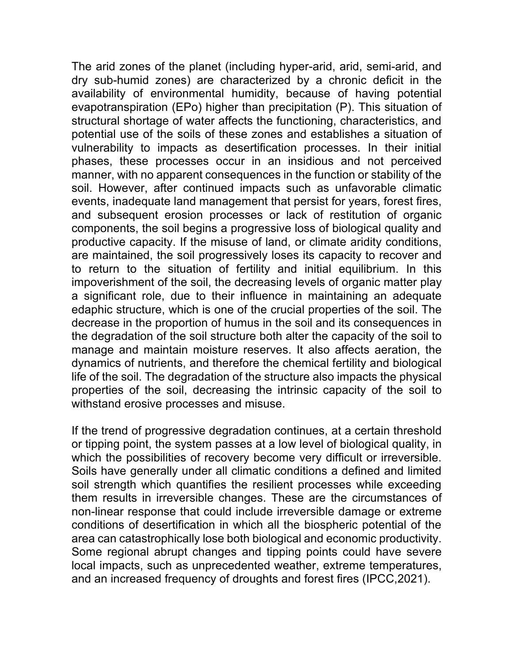The arid zones of the planet (including hyper-arid, arid, semi-arid, and dry sub-humid zones) are characterized by a chronic deficit in the availability of environmental humidity, because of having potential evapotranspiration (EPo) higher than precipitation (P). This situation of structural shortage of water affects the functioning, characteristics, and potential use of the soils of these zones and establishes a situation of vulnerability to impacts as desertification processes. In their initial phases, these processes occur in an insidious and not perceived manner, with no apparent consequences in the function or stability of the soil. However, after continued impacts such as unfavorable climatic events, inadequate land management that persist for years, forest fires, and subsequent erosion processes or lack of restitution of organic components, the soil begins a progressive loss of biological quality and productive capacity. If the misuse of land, or climate aridity conditions, are maintained, the soil progressively loses its capacity to recover and to return to the situation of fertility and initial equilibrium. In this impoverishment of the soil, the decreasing levels of organic matter play a significant role, due to their influence in maintaining an adequate edaphic structure, which is one of the crucial properties of the soil. The decrease in the proportion of humus in the soil and its consequences in the degradation of the soil structure both alter the capacity of the soil to manage and maintain moisture reserves. It also affects aeration, the dynamics of nutrients, and therefore the chemical fertility and biological life of the soil. The degradation of the structure also impacts the physical properties of the soil, decreasing the intrinsic capacity of the soil to withstand erosive processes and misuse.

If the trend of progressive degradation continues, at a certain threshold or tipping point, the system passes at a low level of biological quality, in which the possibilities of recovery become very difficult or irreversible. Soils have generally under all climatic conditions a defined and limited soil strength which quantifies the resilient processes while exceeding them results in irreversible changes. These are the circumstances of non-linear response that could include irreversible damage or extreme conditions of desertification in which all the biospheric potential of the area can catastrophically lose both biological and economic productivity. Some regional abrupt changes and tipping points could have severe local impacts, such as unprecedented weather, extreme temperatures, and an increased frequency of droughts and forest fires (IPCC,2021).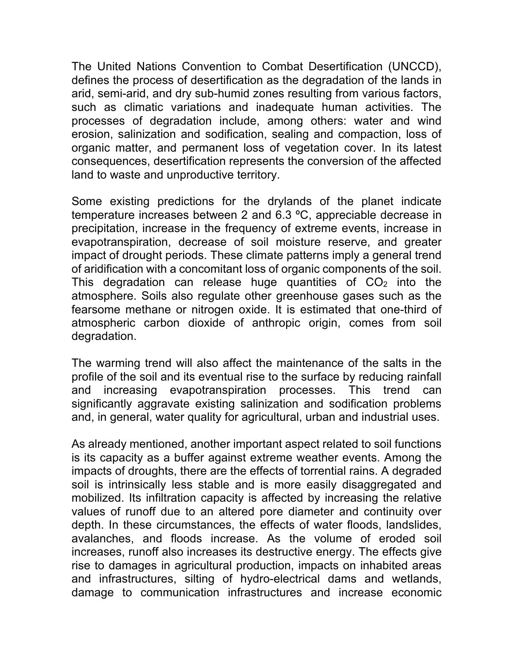The United Nations Convention to Combat Desertification (UNCCD), defines the process of desertification as the degradation of the lands in arid, semi-arid, and dry sub-humid zones resulting from various factors, such as climatic variations and inadequate human activities. The processes of degradation include, among others: water and wind erosion, salinization and sodification, sealing and compaction, loss of organic matter, and permanent loss of vegetation cover. In its latest consequences, desertification represents the conversion of the affected land to waste and unproductive territory.

Some existing predictions for the drylands of the planet indicate temperature increases between 2 and 6.3 ºC, appreciable decrease in precipitation, increase in the frequency of extreme events, increase in evapotranspiration, decrease of soil moisture reserve, and greater impact of drought periods. These climate patterns imply a general trend of aridification with a concomitant loss of organic components of the soil. This degradation can release huge quantities of  $CO<sub>2</sub>$  into the atmosphere. Soils also regulate other greenhouse gases such as the fearsome methane or nitrogen oxide. It is estimated that one-third of atmospheric carbon dioxide of anthropic origin, comes from soil degradation.

The warming trend will also affect the maintenance of the salts in the profile of the soil and its eventual rise to the surface by reducing rainfall and increasing evapotranspiration processes. This trend can significantly aggravate existing salinization and sodification problems and, in general, water quality for agricultural, urban and industrial uses.

As already mentioned, another important aspect related to soil functions is its capacity as a buffer against extreme weather events. Among the impacts of droughts, there are the effects of torrential rains. A degraded soil is intrinsically less stable and is more easily disaggregated and mobilized. Its infiltration capacity is affected by increasing the relative values of runoff due to an altered pore diameter and continuity over depth. In these circumstances, the effects of water floods, landslides, avalanches, and floods increase. As the volume of eroded soil increases, runoff also increases its destructive energy. The effects give rise to damages in agricultural production, impacts on inhabited areas and infrastructures, silting of hydro-electrical dams and wetlands, damage to communication infrastructures and increase economic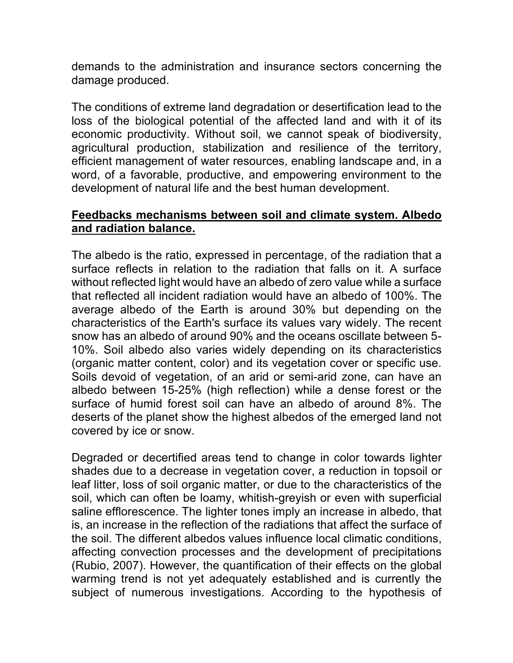demands to the administration and insurance sectors concerning the damage produced.

The conditions of extreme land degradation or desertification lead to the loss of the biological potential of the affected land and with it of its economic productivity. Without soil, we cannot speak of biodiversity, agricultural production, stabilization and resilience of the territory, efficient management of water resources, enabling landscape and, in a word, of a favorable, productive, and empowering environment to the development of natural life and the best human development.

### **Feedbacks mechanisms between soil and climate system. Albedo and radiation balance.**

The albedo is the ratio, expressed in percentage, of the radiation that a surface reflects in relation to the radiation that falls on it. A surface without reflected light would have an albedo of zero value while a surface that reflected all incident radiation would have an albedo of 100%. The average albedo of the Earth is around 30% but depending on the characteristics of the Earth's surface its values vary widely. The recent snow has an albedo of around 90% and the oceans oscillate between 5- 10%. Soil albedo also varies widely depending on its characteristics (organic matter content, color) and its vegetation cover or specific use. Soils devoid of vegetation, of an arid or semi-arid zone, can have an albedo between 15-25% (high reflection) while a dense forest or the surface of humid forest soil can have an albedo of around 8%. The deserts of the planet show the highest albedos of the emerged land not covered by ice or snow.

Degraded or decertified areas tend to change in color towards lighter shades due to a decrease in vegetation cover, a reduction in topsoil or leaf litter, loss of soil organic matter, or due to the characteristics of the soil, which can often be loamy, whitish-greyish or even with superficial saline efflorescence. The lighter tones imply an increase in albedo, that is, an increase in the reflection of the radiations that affect the surface of the soil. The different albedos values influence local climatic conditions, affecting convection processes and the development of precipitations (Rubio, 2007). However, the quantification of their effects on the global warming trend is not yet adequately established and is currently the subject of numerous investigations. According to the hypothesis of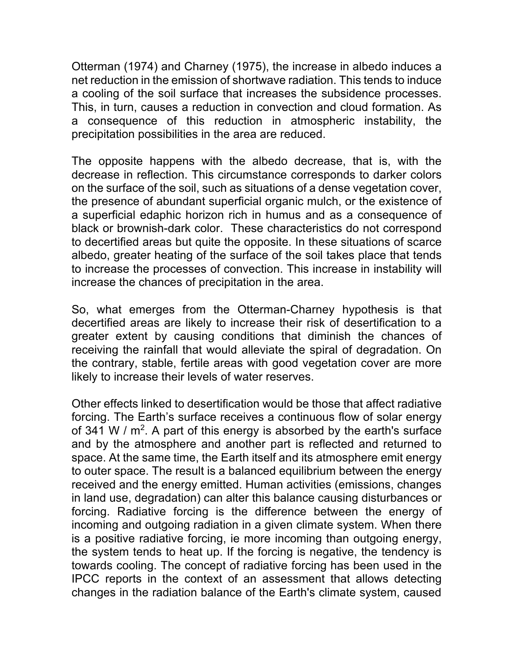Otterman (1974) and Charney (1975), the increase in albedo induces a net reduction in the emission of shortwave radiation. This tends to induce a cooling of the soil surface that increases the subsidence processes. This, in turn, causes a reduction in convection and cloud formation. As a consequence of this reduction in atmospheric instability, the precipitation possibilities in the area are reduced.

The opposite happens with the albedo decrease, that is, with the decrease in reflection. This circumstance corresponds to darker colors on the surface of the soil, such as situations of a dense vegetation cover, the presence of abundant superficial organic mulch, or the existence of a superficial edaphic horizon rich in humus and as a consequence of black or brownish-dark color. These characteristics do not correspond to decertified areas but quite the opposite. In these situations of scarce albedo, greater heating of the surface of the soil takes place that tends to increase the processes of convection. This increase in instability will increase the chances of precipitation in the area.

So, what emerges from the Otterman-Charney hypothesis is that decertified areas are likely to increase their risk of desertification to a greater extent by causing conditions that diminish the chances of receiving the rainfall that would alleviate the spiral of degradation. On the contrary, stable, fertile areas with good vegetation cover are more likely to increase their levels of water reserves.

Other effects linked to desertification would be those that affect radiative forcing. The Earth's surface receives a continuous flow of solar energy of 341 W /  $m^2$ . A part of this energy is absorbed by the earth's surface and by the atmosphere and another part is reflected and returned to space. At the same time, the Earth itself and its atmosphere emit energy to outer space. The result is a balanced equilibrium between the energy received and the energy emitted. Human activities (emissions, changes in land use, degradation) can alter this balance causing disturbances or forcing. Radiative forcing is the difference between the energy of incoming and outgoing radiation in a given climate system. When there is a positive radiative forcing, ie more incoming than outgoing energy, the system tends to heat up. If the forcing is negative, the tendency is towards cooling. The concept of radiative forcing has been used in the IPCC reports in the context of an assessment that allows detecting changes in the radiation balance of the Earth's climate system, caused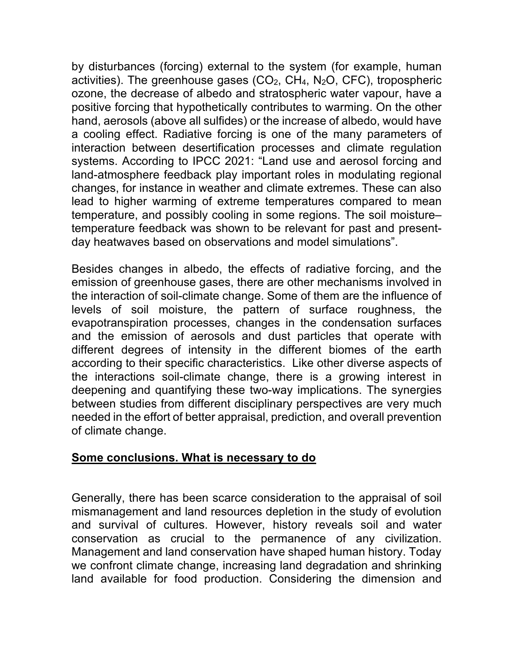by disturbances (forcing) external to the system (for example, human activities). The greenhouse gases  $(CO_2, CH_4, N_2O, CFC)$ , tropospheric ozone, the decrease of albedo and stratospheric water vapour, have a positive forcing that hypothetically contributes to warming. On the other hand, aerosols (above all sulfides) or the increase of albedo, would have a cooling effect. Radiative forcing is one of the many parameters of interaction between desertification processes and climate regulation systems. According to IPCC 2021: "Land use and aerosol forcing and land-atmosphere feedback play important roles in modulating regional changes, for instance in weather and climate extremes. These can also lead to higher warming of extreme temperatures compared to mean temperature, and possibly cooling in some regions. The soil moisture– temperature feedback was shown to be relevant for past and presentday heatwaves based on observations and model simulations".

Besides changes in albedo, the effects of radiative forcing, and the emission of greenhouse gases, there are other mechanisms involved in the interaction of soil-climate change. Some of them are the influence of levels of soil moisture, the pattern of surface roughness, the evapotranspiration processes, changes in the condensation surfaces and the emission of aerosols and dust particles that operate with different degrees of intensity in the different biomes of the earth according to their specific characteristics. Like other diverse aspects of the interactions soil-climate change, there is a growing interest in deepening and quantifying these two-way implications. The synergies between studies from different disciplinary perspectives are very much needed in the effort of better appraisal, prediction, and overall prevention of climate change.

#### **Some conclusions. What is necessary to do**

Generally, there has been scarce consideration to the appraisal of soil mismanagement and land resources depletion in the study of evolution and survival of cultures. However, history reveals soil and water conservation as crucial to the permanence of any civilization. Management and land conservation have shaped human history. Today we confront climate change, increasing land degradation and shrinking land available for food production. Considering the dimension and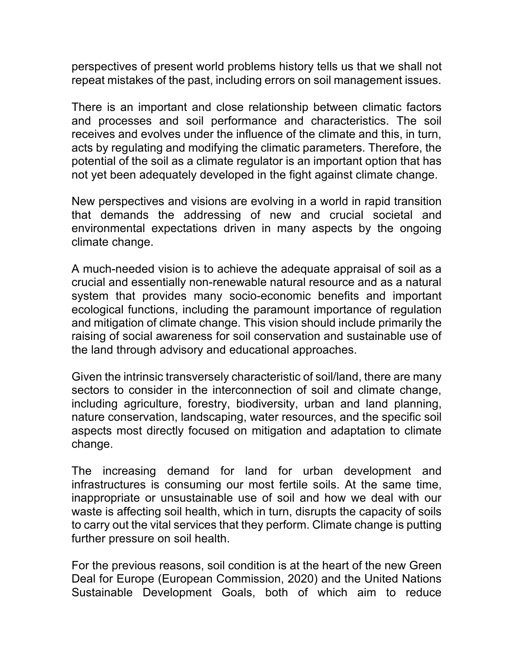perspectives of present world problems history tells us that we shall not repeat mistakes of the past, including errors on soil management issues.

There is an important and close relationship between climatic factors and processes and soil performance and characteristics. The soil receives and evolves under the influence of the climate and this, in turn, acts by regulating and modifying the climatic parameters. Therefore, the potential of the soil as a climate regulator is an important option that has not yet been adequately developed in the fight against climate change.

New perspectives and visions are evolving in a world in rapid transition that demands the addressing of new and crucial societal and environmental expectations driven in many aspects by the ongoing climate change.

A much-needed vision is to achieve the adequate appraisal of soil as a crucial and essentially non-renewable natural resource and as a natural system that provides many socio-economic benefits and important ecological functions, including the paramount importance of regulation and mitigation of climate change. This vision should include primarily the raising of social awareness for soil conservation and sustainable use of the land through advisory and educational approaches.

Given the intrinsic transversely characteristic of soil/land, there are many sectors to consider in the interconnection of soil and climate change, including agriculture, forestry, biodiversity, urban and land planning, nature conservation, landscaping, water resources, and the specific soil aspects most directly focused on mitigation and adaptation to climate change.

The increasing demand for land for urban development and infrastructures is consuming our most fertile soils. At the same time, inappropriate or unsustainable use of soil and how we deal with our waste is affecting soil health, which in turn, disrupts the capacity of soils to carry out the vital services that they perform. Climate change is putting further pressure on soil health.

For the previous reasons, soil condition is at the heart of the new Green Deal for Europe (European Commission, 2020) and the United Nations Sustainable Development Goals, both of which aim to reduce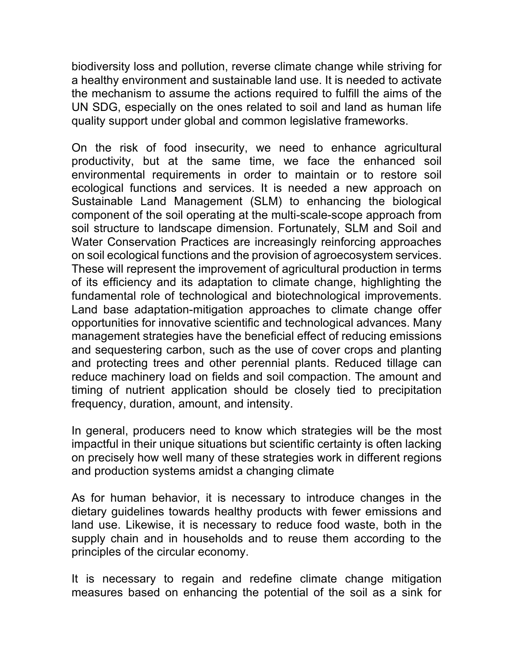biodiversity loss and pollution, reverse climate change while striving for a healthy environment and sustainable land use. It is needed to activate the mechanism to assume the actions required to fulfill the aims of the UN SDG, especially on the ones related to soil and land as human life quality support under global and common legislative frameworks.

On the risk of food insecurity, we need to enhance agricultural productivity, but at the same time, we face the enhanced soil environmental requirements in order to maintain or to restore soil ecological functions and services. It is needed a new approach on Sustainable Land Management (SLM) to enhancing the biological component of the soil operating at the multi-scale-scope approach from soil structure to landscape dimension. Fortunately, SLM and Soil and Water Conservation Practices are increasingly reinforcing approaches on soil ecological functions and the provision of agroecosystem services. These will represent the improvement of agricultural production in terms of its efficiency and its adaptation to climate change, highlighting the fundamental role of technological and biotechnological improvements. Land base adaptation-mitigation approaches to climate change offer opportunities for innovative scientific and technological advances. Many management strategies have the beneficial effect of reducing emissions and sequestering carbon, such as the use of cover crops and planting and protecting trees and other perennial plants. Reduced tillage can reduce machinery load on fields and soil compaction. The amount and timing of nutrient application should be closely tied to precipitation frequency, duration, amount, and intensity.

In general, producers need to know which strategies will be the most impactful in their unique situations but scientific certainty is often lacking on precisely how well many of these strategies work in different regions and production systems amidst a changing climate

As for human behavior, it is necessary to introduce changes in the dietary guidelines towards healthy products with fewer emissions and land use. Likewise, it is necessary to reduce food waste, both in the supply chain and in households and to reuse them according to the principles of the circular economy.

It is necessary to regain and redefine climate change mitigation measures based on enhancing the potential of the soil as a sink for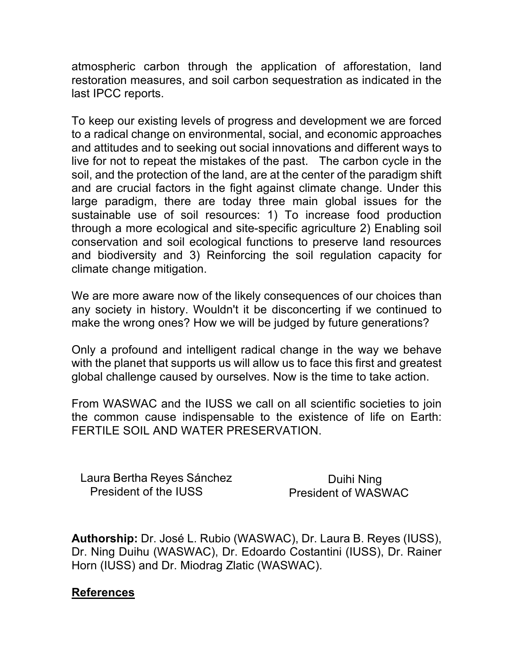atmospheric carbon through the application of afforestation, land restoration measures, and soil carbon sequestration as indicated in the last IPCC reports.

To keep our existing levels of progress and development we are forced to a radical change on environmental, social, and economic approaches and attitudes and to seeking out social innovations and different ways to live for not to repeat the mistakes of the past. The carbon cycle in the soil, and the protection of the land, are at the center of the paradigm shift and are crucial factors in the fight against climate change. Under this large paradigm, there are today three main global issues for the sustainable use of soil resources: 1) To increase food production through a more ecological and site-specific agriculture 2) Enabling soil conservation and soil ecological functions to preserve land resources and biodiversity and 3) Reinforcing the soil regulation capacity for climate change mitigation.

We are more aware now of the likely consequences of our choices than any society in history. Wouldn't it be disconcerting if we continued to make the wrong ones? How we will be judged by future generations?

Only a profound and intelligent radical change in the way we behave with the planet that supports us will allow us to face this first and greatest global challenge caused by ourselves. Now is the time to take action.

From WASWAC and the IUSS we call on all scientific societies to join the common cause indispensable to the existence of life on Earth: FERTILE SOIL AND WATER PRESERVATION.

Laura Bertha Reyes Sánchez President of the IUSS

Duihi Ning President of WASWAC

**Authorship:** Dr. José L. Rubio (WASWAC), Dr. Laura B. Reyes (IUSS), Dr. Ning Duihu (WASWAC), Dr. Edoardo Costantini (IUSS), Dr. Rainer Horn (IUSS) and Dr. Miodrag Zlatic (WASWAC).

#### **References**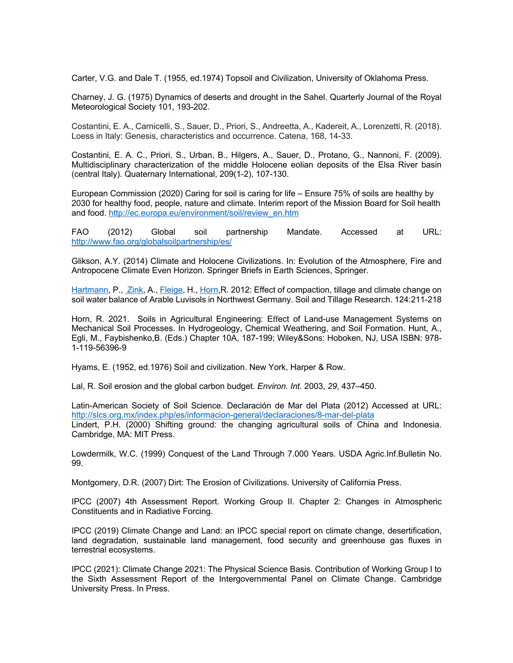Carter, V.G. and Dale T. (1955, ed.1974) Topsoil and Civilization, University of Oklahoma Press.

Charney, J. G. (1975) Dynamics of deserts and drought in the Sahel. Quarterly Journal of the Royal Meteorological Society 101, 193-202.

Costantini, E. A., Carnicelli, S., Sauer, D., Priori, S., Andreetta, A., Kadereit, A., Lorenzetti, R. (2018). Loess in Italy: Genesis, characteristics and occurrence. Catena, 168, 14-33.

Costantini, E. A. C., Priori, S., Urban, B., Hilgers, A., Sauer, D., Protano, G., Nannoni, F. (2009). Multidisciplinary characterization of the middle Holocene eolian deposits of the Elsa River basin (central Italy). Quaternary International, 209(1-2), 107-130.

European Commission (2020) Caring for soil is caring for life – Ensure 75% of soils are healthy by 2030 for healthy food, people, nature and climate. Interim report of the Mission Board for Soil health and food. http://ec.europa.eu/environment/soil/review\_en.htm

FAO (2012) Global soil partnership Mandate. Accessed at URL: http://www.fao.org/globalsoilpartnership/es/

Glikson, A.Y. (2014) Climate and Holocene Civilizations. In: Evolution of the Atmosphere, Fire and Antropocene Climate Even Horizon. Springer Briefs in Earth Sciences, Springer.

Hartmann, P., Zink, A., Fleige, H., Horn, R. 2012: Effect of compaction, tillage and climate change on soil water balance of Arable Luvisols in Northwest Germany. Soil and Tillage Research. 124:211-218

Horn, R. 2021. Soils in Agricultural Engineering: Effect of Land-use Management Systems on Mechanical Soil Processes. In Hydrogeology, Chemical Weathering, and Soil Formation. Hunt, A., Egli, M., Faybishenko,B. (Eds.) Chapter 10A, 187-199; Wiley&Sons: Hoboken, NJ, USA ISBN: 978- 1-119-56396-9

Hyams, E. (1952, ed.1976) Soil and civilization. New York, Harper & Row.

Lal, R. Soil erosion and the global carbon budget. *Environ. Int.* 2003, *29*, 437–450.

Latin-American Society of Soil Science. Declaración de Mar del Plata (2012) Accessed at URL: http://slcs.org.mx/index.php/es/informacion-general/declaraciones/8-mar-del-plata Lindert, P.H. (2000) Shifting ground: the changing agricultural soils of China and Indonesia. Cambridge, MA: MIT Press.

Lowdermilk, W.C. (1999) Conquest of the Land Through 7.000 Years. USDA Agric.Inf.Bulletin No. 99.

Montgomery, D.R. (2007) Dirt: The Erosion of Civilizations. University of California Press.

IPCC (2007) 4th Assessment Report. Working Group II. Chapter 2: Changes in Atmospheric Constituents and in Radiative Forcing.

IPCC (2019) Climate Change and Land: an IPCC special report on climate change, desertification, land degradation, sustainable land management, food security and greenhouse gas fluxes in terrestrial ecosystems.

IPCC (2021): Climate Change 2021: The Physical Science Basis. Contribution of Working Group I to the Sixth Assessment Report of the Intergovernmental Panel on Climate Change. Cambridge University Press. In Press.